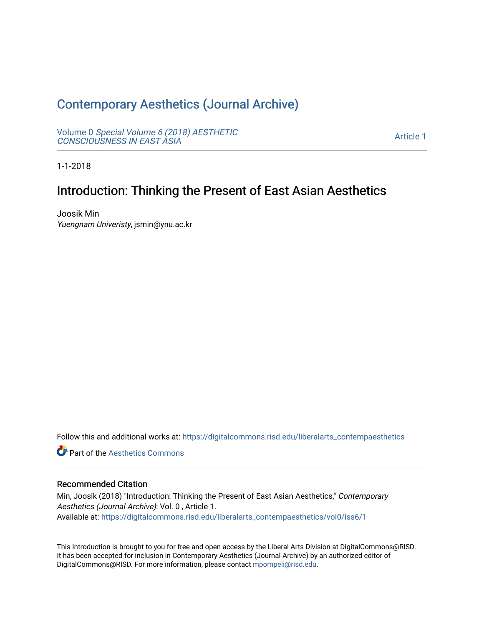## [Contemporary Aesthetics \(Journal Archive\)](https://digitalcommons.risd.edu/liberalarts_contempaesthetics)

Volume 0 [Special Volume 6 \(2018\) AESTHETIC](https://digitalcommons.risd.edu/liberalarts_contempaesthetics/vol0) [CONSCIOUSNESS IN EAST ASIA](https://digitalcommons.risd.edu/liberalarts_contempaesthetics/vol0)

[Article 1](https://digitalcommons.risd.edu/liberalarts_contempaesthetics/vol0/iss6/1) 

1-1-2018

## Introduction: Thinking the Present of East Asian Aesthetics

Joosik Min Yuengnam Univeristy, jsmin@ynu.ac.kr

Follow this and additional works at: [https://digitalcommons.risd.edu/liberalarts\\_contempaesthetics](https://digitalcommons.risd.edu/liberalarts_contempaesthetics?utm_source=digitalcommons.risd.edu%2Fliberalarts_contempaesthetics%2Fvol0%2Fiss6%2F1&utm_medium=PDF&utm_campaign=PDFCoverPages) 

**C** Part of the Aesthetics Commons

#### Recommended Citation

Min, Joosik (2018) "Introduction: Thinking the Present of East Asian Aesthetics," Contemporary Aesthetics (Journal Archive): Vol. 0 , Article 1. Available at: [https://digitalcommons.risd.edu/liberalarts\\_contempaesthetics/vol0/iss6/1](https://digitalcommons.risd.edu/liberalarts_contempaesthetics/vol0/iss6/1?utm_source=digitalcommons.risd.edu%2Fliberalarts_contempaesthetics%2Fvol0%2Fiss6%2F1&utm_medium=PDF&utm_campaign=PDFCoverPages)

This Introduction is brought to you for free and open access by the Liberal Arts Division at DigitalCommons@RISD. It has been accepted for inclusion in Contemporary Aesthetics (Journal Archive) by an authorized editor of DigitalCommons@RISD. For more information, please contact [mpompeli@risd.edu](mailto:mpompeli@risd.edu).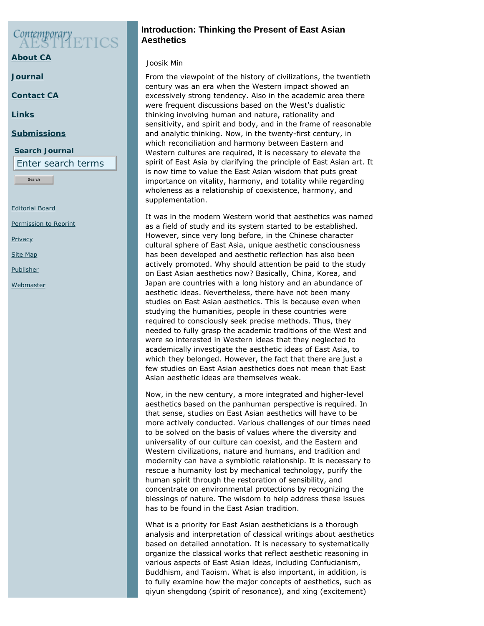# Contemporary<br>A ESTER

**[About CA](https://www.contempaesthetics.org/pages/about.html)**

**[Journal](https://www.contempaesthetics.org/newvolume/pages/journal.php)**

**[Contact CA](https://www.contempaesthetics.org/pages/contact.html)**

**[Links](https://www.contempaesthetics.org/pages/links.html)**

#### **[Submissions](https://www.contempaesthetics.org/pages/guidelines.html)**

**Search Journal** Enter search terms

Search

[Editorial Board](https://www.contempaesthetics.org/pages/editorialboard.html)

[Permission to Reprint](https://www.contempaesthetics.org/pages/reprint.html)

**[Privacy](https://www.contempaesthetics.org/pages/privacy.html)** 

[Site Map](https://www.contempaesthetics.org/pages/sitemap.html)

[Publisher](https://www.contempaesthetics.org/pages/publisher.html)

**[Webmaster](mailto:webmaster@contempaesthetics.org)** 

### **Introduction: Thinking the Present of East Asian Aesthetics**

#### *Joosik Min*

From the viewpoint of the history of civilizations, the twentieth century was an era when the Western impact showed an excessively strong tendency. Also in the academic area there were frequent discussions based on the West's dualistic thinking involving human and nature, rationality and sensitivity, and spirit and body, and in the frame of reasonable and analytic thinking. Now, in the twenty-first century, in which reconciliation and harmony between Eastern and Western cultures are required, it is necessary to elevate the spirit of East Asia by clarifying the principle of East Asian art. It is now time to value the East Asian wisdom that puts great importance on vitality, harmony, and totality while regarding wholeness as a relationship of coexistence, harmony, and supplementation.

It was in the modern Western world that aesthetics was named as a field of study and its system started to be established. However, since very long before, in the Chinese character cultural sphere of East Asia, unique aesthetic consciousness has been developed and aesthetic reflection has also been actively promoted. Why should attention be paid to the study on East Asian aesthetics now? Basically, China, Korea, and Japan are countries with a long history and an abundance of aesthetic ideas. Nevertheless, there have not been many studies on East Asian aesthetics. This is because even when studying the humanities, people in these countries were required to consciously seek precise methods. Thus, they needed to fully grasp the academic traditions of the West and were so interested in Western ideas that they neglected to academically investigate the aesthetic ideas of East Asia, to which they belonged. However, the fact that there are just a few studies on East Asian aesthetics does not mean that East Asian aesthetic ideas are themselves weak.

Now, in the new century, a more integrated and higher-level aesthetics based on the panhuman perspective is required. In that sense, studies on East Asian aesthetics will have to be more actively conducted. Various challenges of our times need to be solved on the basis of values where the diversity and universality of our culture can coexist, and the Eastern and Western civilizations, nature and humans, and tradition and modernity can have a symbiotic relationship. It is necessary to rescue a humanity lost by mechanical technology, purify the human spirit through the restoration of sensibility, and concentrate on environmental protections by recognizing the blessings of nature. The wisdom to help address these issues has to be found in the East Asian tradition.

What is a priority for East Asian aestheticians is a thorough analysis and interpretation of classical writings about aesthetics based on detailed annotation. It is necessary to systematically organize the classical works that reflect aesthetic reasoning in various aspects of East Asian ideas, including Confucianism, Buddhism, and Taoism. What is also important, in addition, is to fully examine how the major concepts of aesthetics, such as *qiyun shengdong* (spirit of resonance), and *xing* (excitement)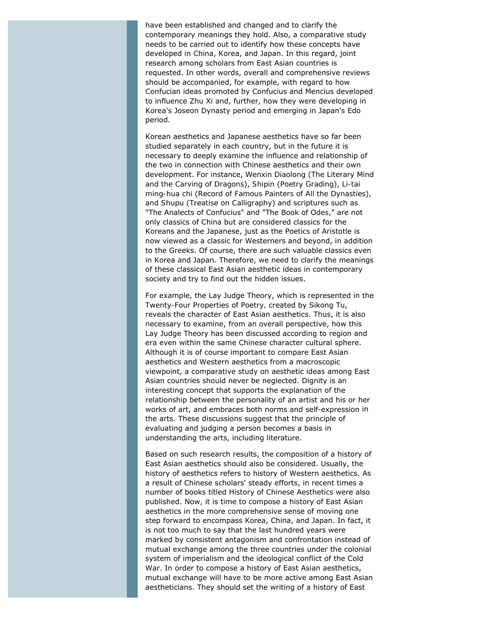have been established and changed and to clarify the contemporary meanings they hold. Also, a comparative study needs to be carried out to identify how these concepts have developed in China, Korea, and Japan. In this regard, joint research among scholars from East Asian countries is requested. In other words, overall and comprehensive reviews should be accompanied, for example, with regard to how Confucian ideas promoted by Confucius and Mencius developed to influence Zhu Xi and, further, how they were developing in Korea's Joseon Dynasty period and emerging in Japan's Edo period.

Korean aesthetics and Japanese aesthetics have so far been studied separately in each country, but in the future it is necessary to deeply examine the influence and relationship of the two in connection with Chinese aesthetics and their own development. For instance, *Wenxin Diaolong* (*The Literary Mind and the Carving of Dragons*), *Shipin* (*Poetry Grading*), *Li-tai ming-hua chi* (*Record of Famous Painters of All the Dynasties*), and *Shupu* (*Treatise on Calligraphy*) and scriptures such as "The Analects of Confucius" and "The Book of Odes," are not only classics of China but are considered classics for the Koreans and the Japanese, just as the *Poetics of Aristotle* is now viewed as a classic for Westerners and beyond, in addition to the Greeks. Of course, there are such valuable classics even in Korea and Japan. Therefore, we need to clarify the meanings of these classical East Asian aesthetic ideas in contemporary society and try to find out the hidden issues.

For example, the Lay Judge Theory, which is represented in the *Twenty-Four Properties of Poetry,* created by Sikong Tu, reveals the character of East Asian aesthetics. Thus, it is also necessary to examine, from an overall perspective, how this Lay Judge Theory has been discussed according to region and era even within the same Chinese character cultural sphere. Although it is of course important to compare East Asian aesthetics and Western aesthetics from a macroscopic viewpoint, a comparative study on aesthetic ideas among East Asian countries should never be neglected. Dignity is an interesting concept that supports the explanation of the relationship between the personality of an artist and his or her works of art, and embraces both norms and self-expression in the arts. These discussions suggest that the principle of evaluating and judging a person becomes a basis in understanding the arts, including literature.

Based on such research results, the composition of a history of East Asian aesthetics should also be considered. Usually, the history of aesthetics refers to history of Western aesthetics. As a result of Chinese scholars' steady efforts, in recent times a number of books titled *History of Chinese Aesthetics* were also published. Now, it is time to compose a history of East Asian aesthetics in the more comprehensive sense of moving one step forward to encompass Korea, China, and Japan. In fact, it is not too much to say that the last hundred years were marked by consistent antagonism and confrontation instead of mutual exchange among the three countries under the colonial system of imperialism and the ideological conflict of the Cold War. In order to compose a history of East Asian aesthetics, mutual exchange will have to be more active among East Asian aestheticians. They should set the writing of a history of East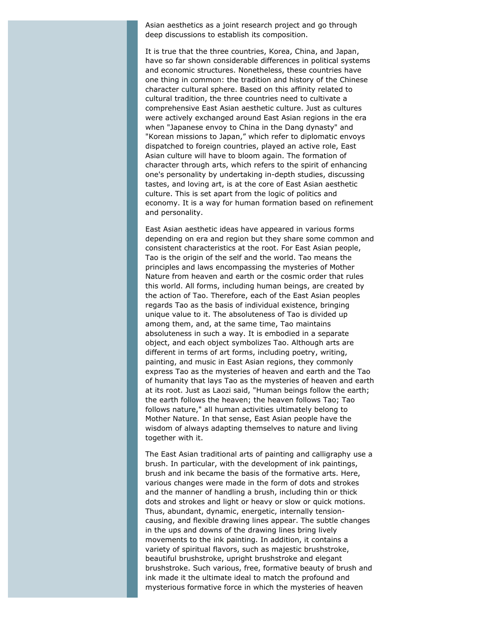Asian aesthetics as a joint research project and go through deep discussions to establish its composition.

It is true that the three countries, Korea, China, and Japan, have so far shown considerable differences in political systems and economic structures. Nonetheless, these countries have one thing in common: the tradition and history of the Chinese character cultural sphere. Based on this affinity related to cultural tradition, the three countries need to cultivate a comprehensive East Asian aesthetic culture. Just as cultures were actively exchanged around East Asian regions in the era when "Japanese envoy to China in the Dang dynasty" and "Korean missions to Japan," which refer to diplomatic envoys dispatched to foreign countries, played an active role, East Asian culture will have to bloom again. The formation of character through arts, which refers to the spirit of enhancing one's personality by undertaking in-depth studies, discussing tastes, and loving art, is at the core of East Asian aesthetic culture. This is set apart from the logic of politics and economy. It is a way for human formation based on refinement and personality.

East Asian aesthetic ideas have appeared in various forms depending on era and region but they share some common and consistent characteristics at the root. For East Asian people, Tao is the origin of the self and the world. Tao means the principles and laws encompassing the mysteries of Mother Nature from heaven and earth or the cosmic order that rules this world. All forms, including human beings, are created by the action of Tao. Therefore, each of the East Asian peoples regards Tao as the basis of individual existence, bringing unique value to it. The absoluteness of Tao is divided up among them, and, at the same time, Tao maintains absoluteness in such a way. It is embodied in a separate object, and each object symbolizes Tao. Although arts are different in terms of art forms, including poetry, writing, painting, and music in East Asian regions, they commonly express Tao as the mysteries of heaven and earth and the Tao of humanity that lays Tao as the mysteries of heaven and earth at its root. Just as Laozi said, "Human beings follow the earth; the earth follows the heaven; the heaven follows Tao; Tao follows nature," all human activities ultimately belong to Mother Nature. In that sense, East Asian people have the wisdom of always adapting themselves to nature and living together with it.

The East Asian traditional arts of painting and calligraphy use a brush. In particular, with the development of ink paintings, brush and ink became the basis of the formative arts. Here, various changes were made in the form of dots and strokes and the manner of handling a brush, including thin or thick dots and strokes and light or heavy or slow or quick motions. Thus, abundant, dynamic, energetic, internally tensioncausing, and flexible drawing lines appear. The subtle changes in the ups and downs of the drawing lines bring lively movements to the ink painting. In addition, it contains a variety of spiritual flavors, such as majestic brushstroke, beautiful brushstroke, upright brushstroke and elegant brushstroke. Such various, free, formative beauty of brush and ink made it the ultimate ideal to match the profound and mysterious formative force in which the mysteries of heaven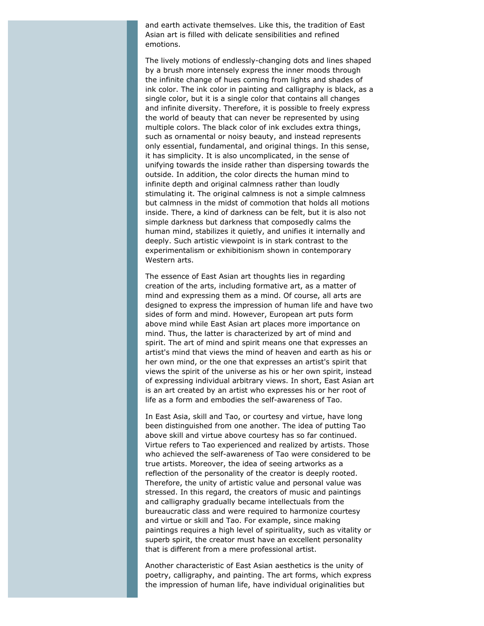and earth activate themselves. Like this, the tradition of East Asian art is filled with delicate sensibilities and refined emotions.

The lively motions of endlessly-changing dots and lines shaped by a brush more intensely express the inner moods through the infinite change of hues coming from lights and shades of ink color. The ink color in painting and calligraphy is black, as a single color, but it is a single color that contains all changes and infinite diversity. Therefore, it is possible to freely express the world of beauty that can never be represented by using multiple colors. The black color of ink excludes extra things, such as ornamental or noisy beauty, and instead represents only essential, fundamental, and original things. In this sense, it has simplicity. It is also uncomplicated, in the sense of unifying towards the inside rather than dispersing towards the outside. In addition, the color directs the human mind to infinite depth and original calmness rather than loudly stimulating it. The original calmness is not a simple calmness but calmness in the midst of commotion that holds all motions inside. There, a kind of darkness can be felt, but it is also not simple darkness but darkness that composedly calms the human mind, stabilizes it quietly, and unifies it internally and deeply. Such artistic viewpoint is in stark contrast to the experimentalism or exhibitionism shown in contemporary Western arts.

The essence of East Asian art thoughts lies in regarding creation of the arts, including formative art, as a matter of mind and expressing them as a mind. Of course, all arts are designed to express the impression of human life and have two sides of form and mind. However, European art puts form above mind while East Asian art places more importance on mind. Thus, the latter is characterized by art of mind and spirit. The art of mind and spirit means one that expresses an artist's mind that views the mind of heaven and earth as his or her own mind, or the one that expresses an artist's spirit that views the spirit of the universe as his or her own spirit, instead of expressing individual arbitrary views. In short, East Asian art is an art created by an artist who expresses his or her root of life as a form and embodies the self-awareness of Tao.

In East Asia, skill and Tao, or courtesy and virtue, have long been distinguished from one another. The idea of putting Tao above skill and virtue above courtesy has so far continued. Virtue refers to Tao experienced and realized by artists. Those who achieved the self-awareness of Tao were considered to be true artists. Moreover, the idea of seeing artworks as a reflection of the personality of the creator is deeply rooted. Therefore, the unity of artistic value and personal value was stressed. In this regard, the creators of music and paintings and calligraphy gradually became intellectuals from the bureaucratic class and were required to harmonize courtesy and virtue or skill and Tao. For example, since making paintings requires a high level of spirituality, such as vitality or superb spirit, the creator must have an excellent personality that is different from a mere professional artist.

Another characteristic of East Asian aesthetics is the unity of poetry, calligraphy, and painting. The art forms, which express the impression of human life, have individual originalities but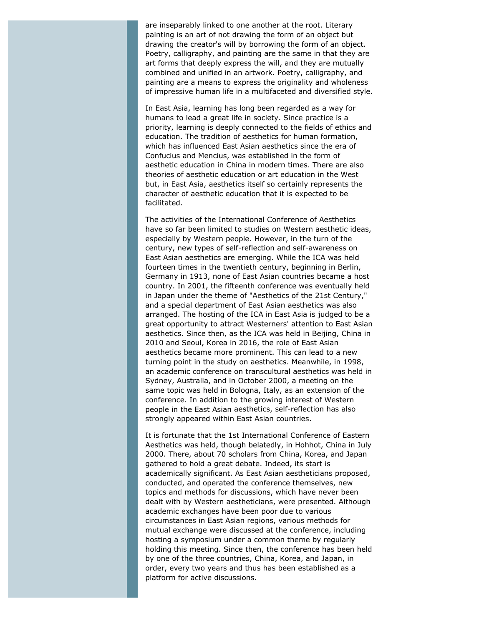are inseparably linked to one another at the root. Literary painting is an art of not drawing the form of an object but drawing the creator's will by borrowing the form of an object. Poetry, calligraphy, and painting are the same in that they are art forms that deeply express the will, and they are mutually combined and unified in an artwork. Poetry, calligraphy, and painting are a means to express the originality and wholeness of impressive human life in a multifaceted and diversified style.

In East Asia, learning has long been regarded as a way for humans to lead a great life in society. Since practice is a priority, learning is deeply connected to the fields of ethics and education. The tradition of aesthetics for human formation, which has influenced East Asian aesthetics since the era of Confucius and Mencius, was established in the form of aesthetic education in China in modern times. There are also theories of aesthetic education or art education in the West but, in East Asia, aesthetics itself so certainly represents the character of aesthetic education that it is expected to be facilitated.

The activities of the International Conference of Aesthetics have so far been limited to studies on Western aesthetic ideas, especially by Western people. However, in the turn of the century, new types of self-reflection and self-awareness on East Asian aesthetics are emerging. While the ICA was held fourteen times in the twentieth century, beginning in Berlin, Germany in 1913, none of East Asian countries became a host country. In 2001, the fifteenth conference was eventually held in Japan under the theme of "Aesthetics of the 21st Century," and a special department of East Asian aesthetics was also arranged. The hosting of the ICA in East Asia is judged to be a great opportunity to attract Westerners' attention to East Asian aesthetics. Since then, as the ICA was held in Beijing, China in 2010 and Seoul, Korea in 2016, the role of East Asian aesthetics became more prominent. This can lead to a new turning point in the study on aesthetics. Meanwhile, in 1998, an academic conference on transcultural aesthetics was held in Sydney, Australia, and in October 2000, a meeting on the same topic was held in Bologna, Italy, as an extension of the conference. In addition to the growing interest of Western people in the East Asian aesthetics, self-reflection has also strongly appeared within East Asian countries.

It is fortunate that the 1st International Conference of Eastern Aesthetics was held, though belatedly, in Hohhot, China in July 2000. There, about 70 scholars from China, Korea, and Japan gathered to hold a great debate. Indeed, its start is academically significant. As East Asian aestheticians proposed, conducted, and operated the conference themselves, new topics and methods for discussions, which have never been dealt with by Western aestheticians, were presented. Although academic exchanges have been poor due to various circumstances in East Asian regions, various methods for mutual exchange were discussed at the conference, including hosting a symposium under a common theme by regularly holding this meeting. Since then, the conference has been held by one of the three countries, China, Korea, and Japan, in order, every two years and thus has been established as a platform for active discussions.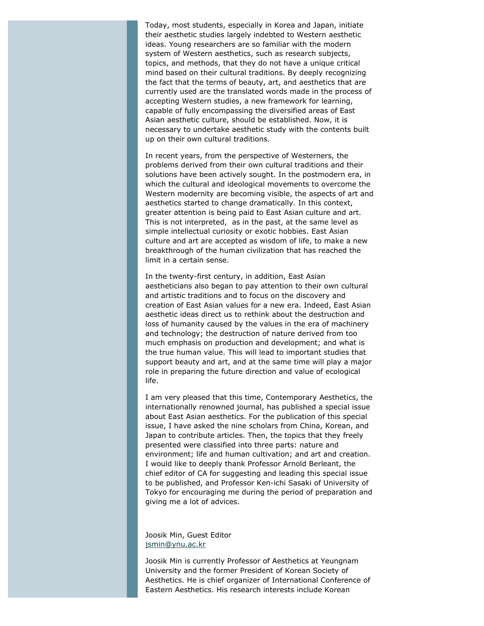Today, most students, especially in Korea and Japan, initiate their aesthetic studies largely indebted to Western aesthetic ideas. Young researchers are so familiar with the modern system of Western aesthetics, such as research subjects, topics, and methods, that they do not have a unique critical mind based on their cultural traditions. By deeply recognizing the fact that the terms of beauty, art, and aesthetics that are currently used are the translated words made in the process of accepting Western studies, a new framework for learning, capable of fully encompassing the diversified areas of East Asian aesthetic culture, should be established. Now, it is necessary to undertake aesthetic study with the contents built up on their own cultural traditions.

In recent years, from the perspective of Westerners, the problems derived from their own cultural traditions and their solutions have been actively sought. In the postmodern era, in which the cultural and ideological movements to overcome the Western modernity are becoming visible, the aspects of art and aesthetics started to change dramatically. In this context, greater attention is being paid to East Asian culture and art. This is not interpreted, as in the past, at the same level as simple intellectual curiosity or exotic hobbies. East Asian culture and art are accepted as wisdom of life, to make a new breakthrough of the human civilization that has reached the limit in a certain sense.

In the twenty-first century, in addition, East Asian aestheticians also began to pay attention to their own cultural and artistic traditions and to focus on the discovery and creation of East Asian values for a new era. Indeed, East Asian aesthetic ideas direct us to rethink about the destruction and loss of humanity caused by the values in the era of machinery and technology; the destruction of nature derived from too much emphasis on production and development; and what is the true human value. This will lead to important studies that support beauty and art, and at the same time will play a major role in preparing the future direction and value of ecological life.

I am very pleased that this time, *Contemporary Aesthetics*, the internationally renowned journal, has published a special issue about East Asian aesthetics. For the publication of this special issue, I have asked the nine scholars from China, Korean, and Japan to contribute articles. Then, the topics that they freely presented were classified into three parts: nature and environment; life and human cultivation; and art and creation. I would like to deeply thank Professor Arnold Berleant, the chief editor of CA for suggesting and leading this special issue to be published, and Professor Ken-ichi Sasaki of University of Tokyo for encouraging me during the period of preparation and giving me a lot of advices.

#### Joosik Min, Guest Editor [jsmin@ynu.ac.kr](mailto:jsmin@ynu.ac.kr)

Joosik Min is currently Professor of Aesthetics at Yeungnam University and the former President of Korean Society of Aesthetics. He is chief organizer of International Conference of Eastern Aesthetics. His research interests include Korean